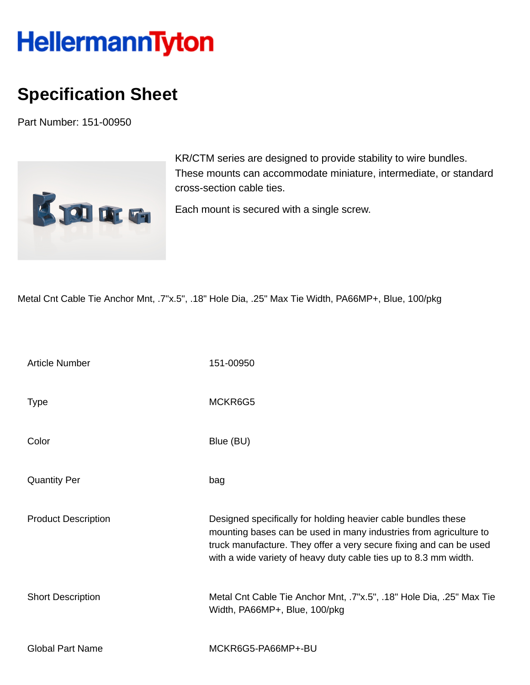## **HellermannTyton**

## **Specification Sheet**

Part Number: 151-00950



KR/CTM series are designed to provide stability to wire bundles. These mounts can accommodate miniature, intermediate, or standard cross-section cable ties.

Each mount is secured with a single screw.

Metal Cnt Cable Tie Anchor Mnt, .7"x.5", .18" Hole Dia, .25" Max Tie Width, PA66MP+, Blue, 100/pkg

| <b>Article Number</b>      | 151-00950                                                                                                                                                                                                                                                                    |
|----------------------------|------------------------------------------------------------------------------------------------------------------------------------------------------------------------------------------------------------------------------------------------------------------------------|
| <b>Type</b>                | MCKR6G5                                                                                                                                                                                                                                                                      |
| Color                      | Blue (BU)                                                                                                                                                                                                                                                                    |
| <b>Quantity Per</b>        | bag                                                                                                                                                                                                                                                                          |
| <b>Product Description</b> | Designed specifically for holding heavier cable bundles these<br>mounting bases can be used in many industries from agriculture to<br>truck manufacture. They offer a very secure fixing and can be used<br>with a wide variety of heavy duty cable ties up to 8.3 mm width. |
| <b>Short Description</b>   | Metal Cnt Cable Tie Anchor Mnt, .7"x.5", .18" Hole Dia, .25" Max Tie<br>Width, PA66MP+, Blue, 100/pkg                                                                                                                                                                        |
| <b>Global Part Name</b>    | MCKR6G5-PA66MP+-BU                                                                                                                                                                                                                                                           |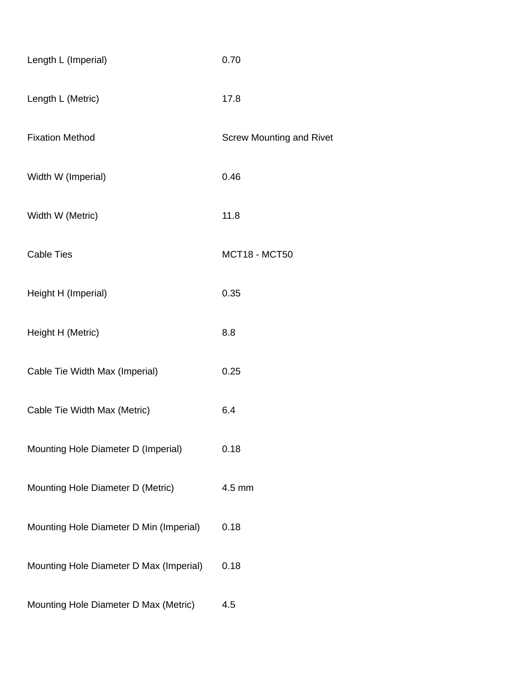| Length L (Imperial)                     | 0.70                            |
|-----------------------------------------|---------------------------------|
| Length L (Metric)                       | 17.8                            |
| <b>Fixation Method</b>                  | <b>Screw Mounting and Rivet</b> |
| Width W (Imperial)                      | 0.46                            |
| Width W (Metric)                        | 11.8                            |
| <b>Cable Ties</b>                       | <b>MCT18 - MCT50</b>            |
| Height H (Imperial)                     | 0.35                            |
| Height H (Metric)                       | 8.8                             |
| Cable Tie Width Max (Imperial)          | 0.25                            |
| Cable Tie Width Max (Metric)            | 6.4                             |
| Mounting Hole Diameter D (Imperial)     | 0.18                            |
| Mounting Hole Diameter D (Metric)       | 4.5 mm                          |
| Mounting Hole Diameter D Min (Imperial) | 0.18                            |
| Mounting Hole Diameter D Max (Imperial) | 0.18                            |
| Mounting Hole Diameter D Max (Metric)   | 4.5                             |